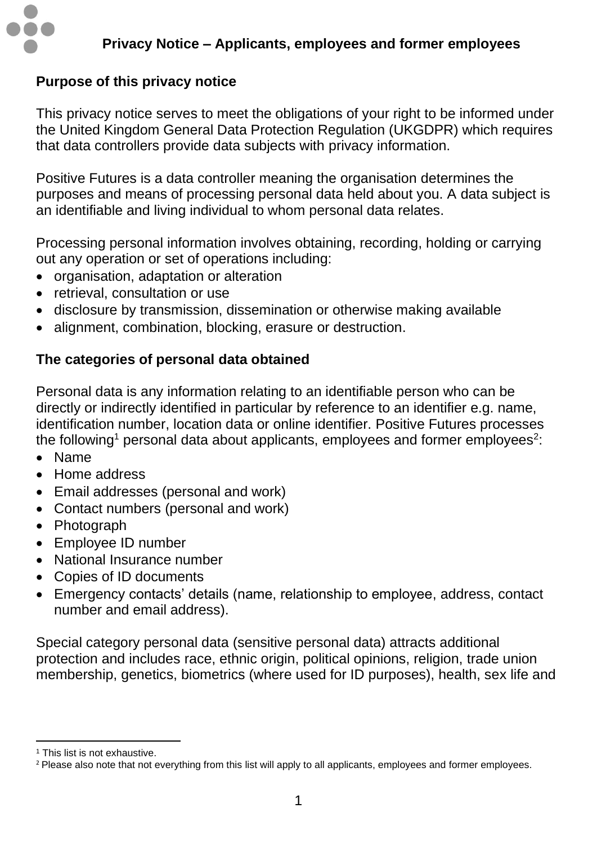

# **Purpose of this privacy notice**

This privacy notice serves to meet the obligations of your right to be informed under the United Kingdom General Data Protection Regulation (UKGDPR) which requires that data controllers provide data subjects with privacy information.

Positive Futures is a data controller meaning the organisation determines the purposes and means of processing personal data held about you. A data subject is an identifiable and living individual to whom personal data relates.

Processing personal information involves obtaining, recording, holding or carrying out any operation or set of operations including:

- organisation, adaptation or alteration
- retrieval, consultation or use
- disclosure by transmission, dissemination or otherwise making available
- alignment, combination, blocking, erasure or destruction.

## **The categories of personal data obtained**

Personal data is any information relating to an identifiable person who can be directly or indirectly identified in particular by reference to an identifier e.g. name, identification number, location data or online identifier. Positive Futures processes the following<sup>1</sup> personal data about applicants, employees and former employees<sup>2</sup>:

- Name
- Home address
- Email addresses (personal and work)
- Contact numbers (personal and work)
- Photograph
- Employee ID number
- National Insurance number
- Copies of ID documents
- Emergency contacts' details (name, relationship to employee, address, contact number and email address).

Special category personal data (sensitive personal data) attracts additional protection and includes race, ethnic origin, political opinions, religion, trade union membership, genetics, biometrics (where used for ID purposes), health, sex life and

<sup>1</sup> This list is not exhaustive.

<sup>&</sup>lt;sup>2</sup> Please also note that not everything from this list will apply to all applicants, employees and former employees.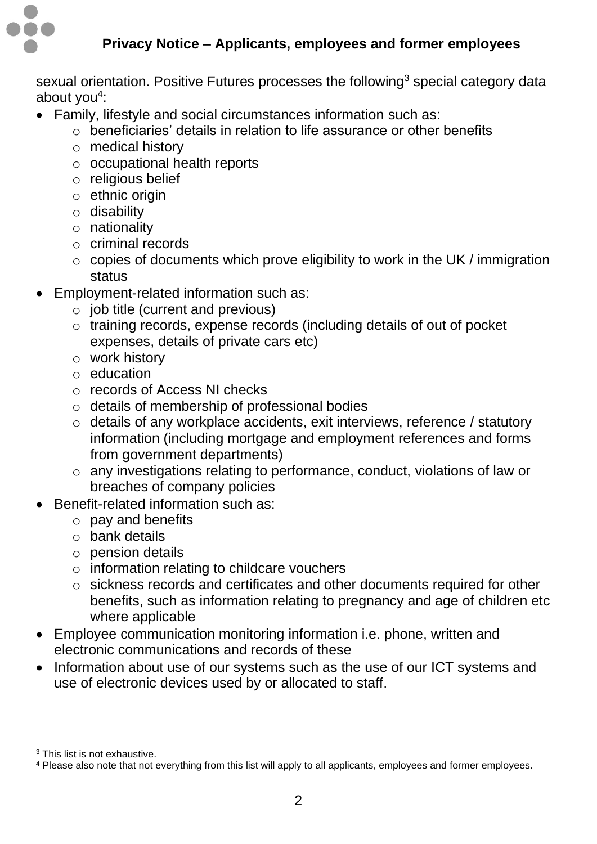

sexual orientation. Positive Futures processes the following<sup>3</sup> special category data about you<sup>4</sup>:

- Family, lifestyle and social circumstances information such as:
	- $\circ$  beneficiaries' details in relation to life assurance or other benefits
	- o medical history
	- o occupational health reports
	- o religious belief
	- $\circ$  ethnic origin
	- o disability
	- o nationality
	- o criminal records
	- o copies of documents which prove eligibility to work in the UK / immigration status
- Employment-related information such as:
	- $\circ$  job title (current and previous)
	- o training records, expense records (including details of out of pocket expenses, details of private cars etc)
	- o work history
	- o education
	- o records of Access NI checks
	- o details of membership of professional bodies
	- o details of any workplace accidents, exit interviews, reference / statutory information (including mortgage and employment references and forms from government departments)
	- o any investigations relating to performance, conduct, violations of law or breaches of company policies
- Benefit-related information such as:
	- o pay and benefits
	- o bank details
	- o pension details
	- o information relating to childcare vouchers
	- o sickness records and certificates and other documents required for other benefits, such as information relating to pregnancy and age of children etc where applicable
- Employee communication monitoring information i.e. phone, written and electronic communications and records of these
- Information about use of our systems such as the use of our ICT systems and use of electronic devices used by or allocated to staff.

<sup>3</sup> This list is not exhaustive.

<sup>4</sup> Please also note that not everything from this list will apply to all applicants, employees and former employees.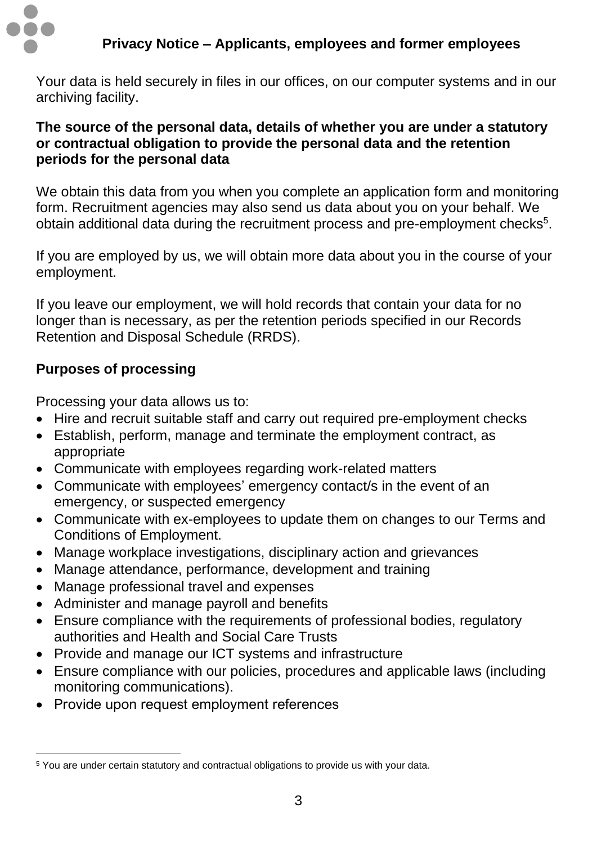

Your data is held securely in files in our offices, on our computer systems and in our archiving facility.

### **The source of the personal data, details of whether you are under a statutory or contractual obligation to provide the personal data and the retention periods for the personal data**

We obtain this data from you when you complete an application form and monitoring form. Recruitment agencies may also send us data about you on your behalf. We obtain additional data during the recruitment process and pre-employment checks<sup>5</sup>.

If you are employed by us, we will obtain more data about you in the course of your employment.

If you leave our employment, we will hold records that contain your data for no longer than is necessary, as per the retention periods specified in our Records Retention and Disposal Schedule (RRDS).

## **Purposes of processing**

Processing your data allows us to:

- Hire and recruit suitable staff and carry out required pre-employment checks
- Establish, perform, manage and terminate the employment contract, as appropriate
- Communicate with employees regarding work-related matters
- Communicate with employees' emergency contact/s in the event of an emergency, or suspected emergency
- Communicate with ex-employees to update them on changes to our Terms and Conditions of Employment.
- Manage workplace investigations, disciplinary action and grievances
- Manage attendance, performance, development and training
- Manage professional travel and expenses
- Administer and manage payroll and benefits
- Ensure compliance with the requirements of professional bodies, requiatory authorities and Health and Social Care Trusts
- Provide and manage our ICT systems and infrastructure
- Ensure compliance with our policies, procedures and applicable laws (including monitoring communications).
- Provide upon request employment references

<sup>5</sup> You are under certain statutory and contractual obligations to provide us with your data.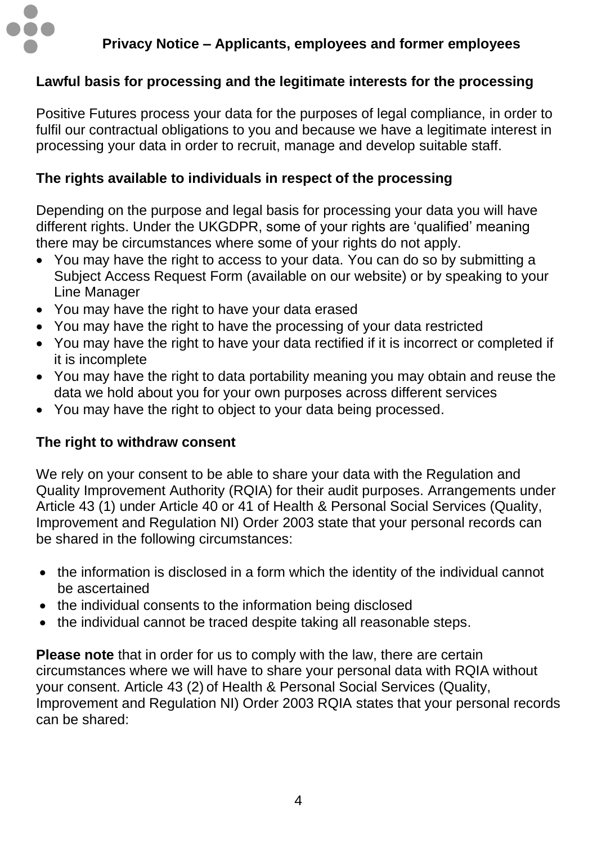

## **Lawful basis for processing and the legitimate interests for the processing**

Positive Futures process your data for the purposes of legal compliance, in order to fulfil our contractual obligations to you and because we have a legitimate interest in processing your data in order to recruit, manage and develop suitable staff.

### **The rights available to individuals in respect of the processing**

Depending on the purpose and legal basis for processing your data you will have different rights. Under the UKGDPR, some of your rights are 'qualified' meaning there may be circumstances where some of your rights do not apply.

- You may have the right to access to your data. You can do so by submitting a Subject Access Request Form (available on our website) or by speaking to your Line Manager
- You may have the right to have your data erased
- You may have the right to have the processing of your data restricted
- You may have the right to have your data rectified if it is incorrect or completed if it is incomplete
- You may have the right to data portability meaning you may obtain and reuse the data we hold about you for your own purposes across different services
- You may have the right to object to your data being processed.

### **The right to withdraw consent**

We rely on your consent to be able to share your data with the Regulation and Quality Improvement Authority (RQIA) for their audit purposes. Arrangements under Article 43 (1) under Article 40 or 41 of Health & Personal Social Services (Quality, Improvement and Regulation NI) Order 2003 state that your personal records can be shared in the following circumstances:

- the information is disclosed in a form which the identity of the individual cannot be ascertained
- the individual consents to the information being disclosed
- the individual cannot be traced despite taking all reasonable steps.

**Please note** that in order for us to comply with the law, there are certain circumstances where we will have to share your personal data with RQIA without your consent. Article 43 (2) of Health & Personal Social Services (Quality, Improvement and Regulation NI) Order 2003 RQIA states that your personal records can be shared: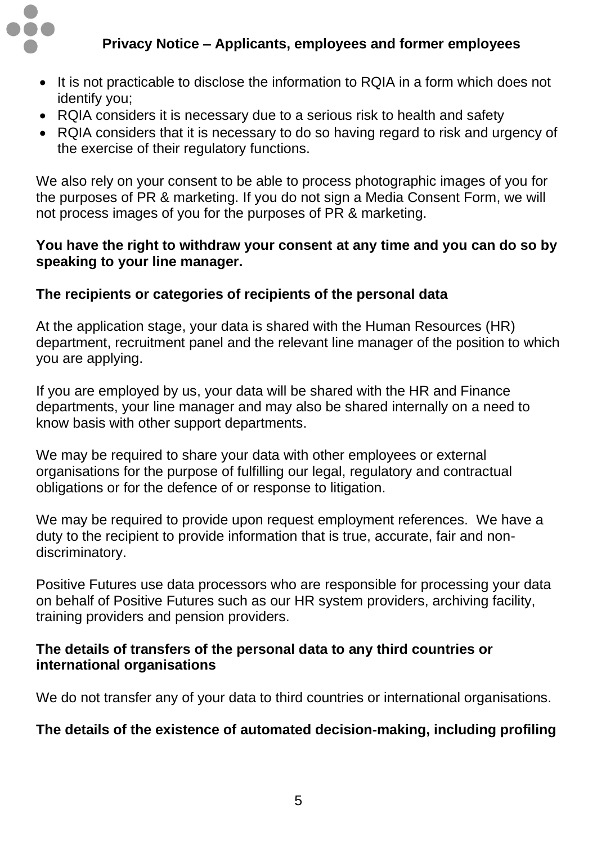

- It is not practicable to disclose the information to RQIA in a form which does not identify you;
- RQIA considers it is necessary due to a serious risk to health and safety
- RQIA considers that it is necessary to do so having regard to risk and urgency of the exercise of their regulatory functions.

We also rely on your consent to be able to process photographic images of you for the purposes of PR & marketing. If you do not sign a Media Consent Form, we will not process images of you for the purposes of PR & marketing.

### **You have the right to withdraw your consent at any time and you can do so by speaking to your line manager.**

## **The recipients or categories of recipients of the personal data**

At the application stage, your data is shared with the Human Resources (HR) department, recruitment panel and the relevant line manager of the position to which you are applying.

If you are employed by us, your data will be shared with the HR and Finance departments, your line manager and may also be shared internally on a need to know basis with other support departments.

We may be required to share your data with other employees or external organisations for the purpose of fulfilling our legal, regulatory and contractual obligations or for the defence of or response to litigation.

We may be required to provide upon request employment references. We have a duty to the recipient to provide information that is true, accurate, fair and nondiscriminatory.

Positive Futures use data processors who are responsible for processing your data on behalf of Positive Futures such as our HR system providers, archiving facility, training providers and pension providers.

### **The details of transfers of the personal data to any third countries or international organisations**

We do not transfer any of your data to third countries or international organisations.

### **The details of the existence of automated decision-making, including profiling**